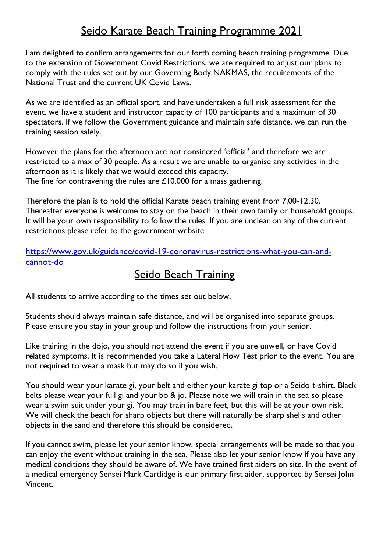## Seido Karate Beach Training Programme 2021

I am delighted to confirm arrangements for our forth coming beach training programme. Due to the extension of Government Covid Restrictions, we are required to adjust our plans to comply with the rules set out by our Governing Body NAKMAS, the requirements of the National Trust and the current UK Covid Laws.

As we are identified as an official sport, and have undertaken a full risk assessment for the event, we have a student and instructor capacity of 100 participants and a maximum of 30 spectators. If we follow the Government guidance and maintain safe distance, we can run the training session safely.

However the plans for the afternoon are not considered 'official' and therefore we are restricted to a max of 30 people. As a result we are unable to organise any activities in the afternoon as it is likely that we would exceed this capacity. The fine for contravening the rules are £10,000 for a mass gathering.

Therefore the plan is to hold the official Karate beach training event from 7.00-12.30. Thereafter everyone is welcome to stay on the beach in their own family or household groups. It will be your own responsibility to follow the rules. If you are unclear on any of the current restrictions please refer to the government website:

[https://www.gov.uk/guidance/covid-19-coronavirus-restrictions-what-you-can-and](https://www.gov.uk/guidance/covid-19-coronavirus-restrictions-what-you-can-and-cannot-do)[cannot-do](https://www.gov.uk/guidance/covid-19-coronavirus-restrictions-what-you-can-and-cannot-do)

## Seido Beach Training

All students to arrive according to the times set out below.

Students should always maintain safe distance, and will be organised into separate groups. Please ensure you stay in your group and follow the instructions from your senior.

Like training in the dojo, you should not attend the event if you are unwell, or have Covid related symptoms. It is recommended you take a Lateral Flow Test prior to the event. You are not required to wear a mask but may do so if you wish.

You should wear your karate gi, your belt and either your karate gi top or a Seido t-shirt. Black belts please wear your full gi and your bo & jo. Please note we will train in the sea so please wear a swim suit under your gi. You may train in bare feet, but this will be at your own risk. We will check the beach for sharp objects but there will naturally be sharp shells and other objects in the sand and therefore this should be considered.

If you cannot swim, please let your senior know, special arrangements will be made so that you can enjoy the event without training in the sea. Please also let your senior know if you have any medical conditions they should be aware of. We have trained first aiders on site. In the event of a medical emergency Sensei Mark Cartlidge is our primary first aider, supported by Sensei John Vincent.